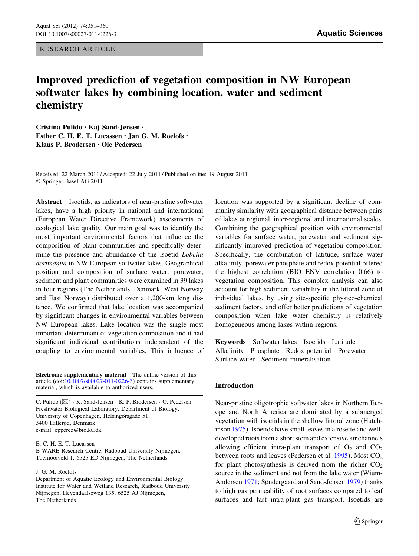RESEARCH ARTICLE

# Improved prediction of vegetation composition in NW European softwater lakes by combining location, water and sediment chemistry

Cristina Pulido • Kaj Sand-Jensen • Esther C. H. E. T. Lucassen · Jan G. M. Roelofs · Klaus P. Brodersen • Ole Pedersen

Received: 22 March 2011 / Accepted: 22 July 2011 / Published online: 19 August 2011 © Springer Basel AG 2011

Abstract Isoetids, as indicators of near-pristine softwater lakes, have a high priority in national and international (European Water Directive Framework) assessments of ecological lake quality. Our main goal was to identify the most important environmental factors that influence the composition of plant communities and specifically determine the presence and abundance of the isoetid Lobelia dortmanna in NW European softwater lakes. Geographical position and composition of surface water, porewater, sediment and plant communities were examined in 39 lakes in four regions (The Netherlands, Denmark, West Norway and East Norway) distributed over a 1,200-km long distance. We confirmed that lake location was accompanied by significant changes in environmental variables between NW European lakes. Lake location was the single most important determinant of vegetation composition and it had significant individual contributions independent of the coupling to environmental variables. This influence of

Electronic supplementary material The online version of this article (doi:[10.1007/s00027-011-0226-3\)](http://dx.doi.org/10.1007/s00027-011-0226-3) contains supplementary material, which is available to authorized users.

C. Pulido ( $\boxtimes$ ) · K. Sand-Jensen · K. P. Brodersen · O. Pedersen Freshwater Biological Laboratory, Department of Biology, University of Copenhagen, Helsingørsgade 51, 3400 Hillerød, Denmark e-mail: cpperez@bio.ku.dk

E. C. H. E. T. Lucassen

B-WARE Research Centre, Radboud University Nijmegen, Toernooiveld 1, 6525 ED Nijmegen, The Netherlands

#### J. G. M. Roelofs

Department of Aquatic Ecology and Environmental Biology, Institute for Water and Wetland Research, Radboud University Nijmegen, Heyendaalseweg 135, 6525 AJ Nijmegen, The Netherlands

location was supported by a significant decline of community similarity with geographical distance between pairs of lakes at regional, inter-regional and international scales. Combining the geographical position with environmental variables for surface water, porewater and sediment significantly improved prediction of vegetation composition. Specifically, the combination of latitude, surface water alkalinity, porewater phosphate and redox potential offered the highest correlation (BIO ENV correlation 0.66) to vegetation composition. This complex analysis can also account for high sediment variability in the littoral zone of individual lakes, by using site-specific physico-chemical sediment factors, and offer better predictions of vegetation composition when lake water chemistry is relatively homogeneous among lakes within regions.

Keywords Softwater lakes · Isoetids · Latitude · Alkalinity · Phosphate · Redox potential · Porewater · Surface water - Sediment mineralisation

## Introduction

Near-pristine oligotrophic softwater lakes in Northern Europe and North America are dominated by a submerged vegetation with isoetids in the shallow littoral zone (Hutchinson [1975\)](#page-8-0). Isoetids have small leaves in a rosette and welldeveloped roots from a short stem and extensive air channels allowing efficient intra-plant transport of  $O_2$  and  $CO_2$ between roots and leaves (Pedersen et al. [1995\)](#page-8-0). Most  $CO<sub>2</sub>$ for plant photosynthesis is derived from the richer  $CO<sub>2</sub>$ source in the sediment and not from the lake water (Wium-Andersen [1971;](#page-9-0) Søndergaard and Sand-Jensen [1979\)](#page-9-0) thanks to high gas permeability of root surfaces compared to leaf surfaces and fast intra-plant gas transport. Isoetids are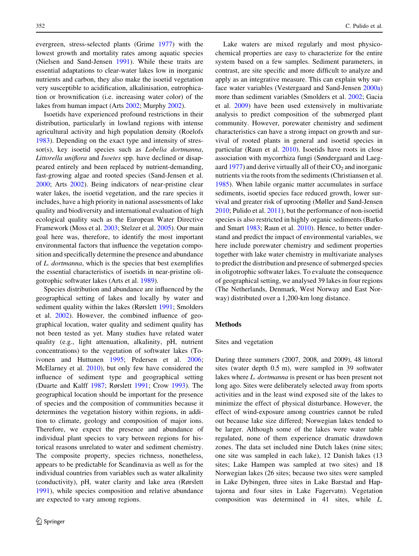evergreen, stress-selected plants (Grime [1977](#page-8-0)) with the lowest growth and mortality rates among aquatic species (Nielsen and Sand-Jensen [1991\)](#page-8-0). While these traits are essential adaptations to clear-water lakes low in inorganic nutrients and carbon, they also make the isoetid vegetation very susceptible to acidification, alkalinisation, eutrophication or brownification (i.e. increasing water color) of the lakes from human impact (Arts [2002;](#page-8-0) Murphy [2002](#page-8-0)).

Isoetids have experienced profound restrictions in their distribution, particularly in lowland regions with intense agricultural activity and high population density (Roelofs [1983\)](#page-9-0). Depending on the exact type and intensity of stressor(s), key isoetid species such as *Lobelia dortmanna*, Littorella uniflora and Isoetes spp. have declined or disappeared entirely and been replaced by nutrient-demanding, fast-growing algae and rooted species (Sand-Jensen et al. [2000;](#page-9-0) Arts [2002\)](#page-8-0). Being indicators of near-pristine clear water lakes, the isoetid vegetation, and the rare species it includes, have a high priority in national assessments of lake quality and biodiversity and international evaluation of high ecological quality such as the European Water Directive Framework (Moss et al. [2003](#page-8-0); Stelzer et al. [2005\)](#page-9-0). Our main goal here was, therefore, to identify the most important environmental factors that influence the vegetation composition and specifically determine the presence and abundance of L. dortmanna, which is the species that best exemplifies the essential characteristics of isoetids in near-pristine oligotrophic softwater lakes (Arts et al. [1989\)](#page-8-0).

Species distribution and abundance are influenced by the geographical setting of lakes and locally by water and sediment quality within the lakes (Rørslett [1991;](#page-9-0) Smolders et al. [2002](#page-9-0)). However, the combined influence of geographical location, water quality and sediment quality has not been tested as yet. Many studies have related water quality (e.g., light attenuation, alkalinity, pH, nutrient concentrations) to the vegetation of softwater lakes (Toivonen and Huttunen [1995;](#page-9-0) Pedersen et al. [2006](#page-9-0); McElarney et al. [2010\)](#page-8-0), but only few have considered the influence of sediment type and geographical setting (Duarte and Kalff [1987;](#page-8-0) Rørslett [1991](#page-9-0); Crow [1993\)](#page-8-0). The geographical location should be important for the presence of species and the composition of communities because it determines the vegetation history within regions, in addition to climate, geology and composition of major ions. Therefore, we expect the presence and abundance of individual plant species to vary between regions for historical reasons unrelated to water and sediment chemistry. The composite property, species richness, nonetheless, appears to be predictable for Scandinavia as well as for the individual countries from variables such as water alkalinity (conductivity), pH, water clarity and lake area (Rørslett [1991\)](#page-9-0), while species composition and relative abundance are expected to vary among regions.

Lake waters are mixed regularly and most physicochemical properties are easy to characterize for the entire system based on a few samples. Sediment parameters, in contrast, are site specific and more difficult to analyze and apply as an integrative measure. This can explain why surface water variables (Vestergaard and Sand-Jensen [2000a\)](#page-9-0) more than sediment variables (Smolders et al. [2002](#page-9-0); Gacia et al. [2009](#page-8-0)) have been used extensively in multivariate analysis to predict composition of the submerged plant community. However, porewater chemistry and sediment characteristics can have a strong impact on growth and survival of rooted plants in general and isoetid species in particular (Raun et al. [2010](#page-9-0)). Isoetids have roots in close association with mycorrhiza fungi (Søndergaard and Laegaard  $1977$ ) and derive virtually all of their  $CO<sub>2</sub>$  and inorganic nutrients via the roots from the sediments (Christiansen et al. [1985](#page-8-0)). When labile organic matter accumulates in surface sediments, isoetid species face reduced growth, lower survival and greater risk of uprooting (Møller and Sand-Jensen [2010](#page-8-0); Pulido et al. [2011\)](#page-9-0), but the performance of non-isoetid species is also restricted in highly organic sediments (Barko and Smart [1983](#page-8-0); Raun et al. [2010](#page-9-0)). Hence, to better understand and predict the impact of environmental variables, we here include porewater chemistry and sediment properties together with lake water chemistry in multivariate analyses to predict the distribution and presence of submerged species in oligotrophic softwater lakes. To evaluate the consequence of geographical setting, we analysed 39 lakes in four regions (The Netherlands, Denmark, West Norway and East Norway) distributed over a 1,200-km long distance.

## Methods

#### Sites and vegetation

During three summers (2007, 2008, and 2009), 48 littoral sites (water depth 0.5 m), were sampled in 39 softwater lakes where L. dortmanna is present or has been present not long ago. Sites were deliberately selected away from sports activities and in the least wind exposed site of the lakes to minimize the effect of physical disturbance. However, the effect of wind-exposure among countries cannot be ruled out because lake size differed; Norwegian lakes tended to be larger. Although some of the lakes were water table regulated, none of them experience dramatic drawdown zones. The data set included nine Dutch lakes (nine sites; one site was sampled in each lake), 12 Danish lakes (13 sites; Lake Hampen was sampled at two sites) and 18 Norwegian lakes (26 sites; because two sites were sampled in Lake Dybingen, three sites in Lake Barstad and Haptajorna and four sites in Lake Fagervatn). Vegetation composition was determined in 41 sites, while L.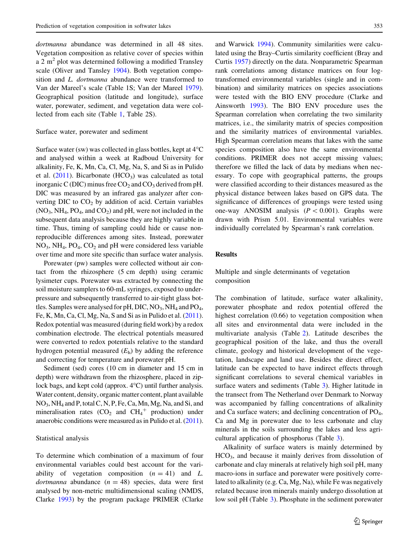dortmanna abundance was determined in all 48 sites. Vegetation composition as relative cover of species within a 2  $m<sup>2</sup>$  plot was determined following a modified Transley scale (Oliver and Tansley [1904\)](#page-8-0). Both vegetation composition and *L. dortmanna* abundance were transformed to Van der Mareel's scale (Table 1S; Van der Mareel [1979](#page-9-0)). Geographical position (latitude and longitude), surface water, porewater, sediment, and vegetation data were collected from each site (Table [1,](#page-3-0) Table 2S).

## Surface water, porewater and sediment

Surface water (sw) was collected in glass bottles, kept at  $4^{\circ}C$ and analysed within a week at Radboud University for alkalinity, Fe, K, Mn, Ca, Cl, Mg, Na, S, and Si as in Pulido et al.  $(2011)$  $(2011)$ . Bicarbonate  $(HCO<sub>3</sub>)$  was calculated as total inorganic C (DIC) minus free  $CO_2$  and  $CO_3$  derived from pH. DIC was measured by an infrared gas analyzer after converting DIC to  $CO<sub>2</sub>$  by addition of acid. Certain variables  $(NO<sub>3</sub>, NH<sub>4</sub>, PO<sub>4</sub>, and CO<sub>2</sub>)$  and pH, were not included in the subsequent data analysis because they are highly variable in time. Thus, timing of sampling could hide or cause nonreproducible differences among sites. Instead, porewater  $NO_3$ ,  $NH_4$ ,  $PO_4$ ,  $CO_2$  and pH were considered less variable over time and more site specific than surface water analysis.

Porewater (pw) samples were collected without air contact from the rhizosphere (5 cm depth) using ceramic lysimeter cups. Porewater was extracted by connecting the soil moisture samplers to 60-mL syringes, exposed to underpressure and subsequently transferred to air-tight glass bottles. Samples were analysed for pH, DIC,  $NO_3$ ,  $NH_4$  and  $PO_4$ , Fe, K, Mn, Ca, Cl, Mg, Na, S and Si as in Pulido et al. [\(2011](#page-9-0)). Redox potential was measured (during field work) by a redox combination electrode. The electrical potentials measured were converted to redox potentials relative to the standard hydrogen potential measured  $(E_h)$  by adding the reference and correcting for temperature and porewater pH.

Sediment (sed) cores (10 cm in diameter and 15 cm in depth) were withdrawn from the rhizosphere, placed in ziplock bags, and kept cold (approx.  $4^{\circ}$ C) until further analysis. Water content, density, organic matter content, plant available NO3, NH4 and P, total C, N, P, Fe, Ca, Mn, Mg, Na, and Si, and mineralisation rates  $(CO_2$  and  $CH_4^+$  production) under anaerobic conditions were measured as in Pulido et al. ([2011](#page-9-0)).

## Statistical analysis

To determine which combination of a maximum of four environmental variables could best account for the variability of vegetation composition  $(n = 41)$  and L. dortmanna abundance ( $n = 48$ ) species, data were first analysed by non-metric multidimensional scaling (NMDS, Clarke [1993](#page-8-0)) by the program package PRIMER (Clarke

and Warwick [1994\)](#page-8-0). Community similarities were calculated using the Bray–Curtis similarity coefficient (Bray and Curtis [1957](#page-8-0)) directly on the data. Nonparametric Spearman rank correlations among distance matrices on four logtransformed environmental variables (single and in combination) and similarity matrices on species associations were tested with the BIO ENV procedure (Clarke and Ainsworth [1993](#page-8-0)). The BIO ENV procedure uses the Spearman correlation when correlating the two similarity matrices, i.e., the similarity matrix of species composition and the similarity matrices of environmental variables. High Spearman correlation means that lakes with the same species composition also have the same environmental conditions. PRIMER does not accept missing values; therefore we filled the lack of data by medians when necessary. To cope with geographical patterns, the groups were classified according to their distances measured as the physical distance between lakes based on GPS data. The significance of differences of groupings were tested using one-way ANOSIM analysis  $(P < 0.001)$ . Graphs were drawn with Prism 5.01. Environmental variables were individually correlated by Spearman's rank correlation.

## Results

Multiple and single determinants of vegetation composition

The combination of latitude, surface water alkalinity, porewater phosphate and redox potential offered the highest correlation (0.66) to vegetation composition when all sites and environmental data were included in the multivariate analysis (Table [2](#page-4-0)). Latitude describes the geographical position of the lake, and thus the overall climate, geology and historical development of the vegetation, landscape and land use. Besides the direct effect, latitude can be expected to have indirect effects through significant correlations to several chemical variables in surface waters and sediments (Table [3](#page-4-0)). Higher latitude in the transect from The Netherland over Denmark to Norway was accompanied by falling concentrations of alkalinity and Ca surface waters; and declining concentration of  $PO<sub>4</sub>$ , Ca and Mg in porewater due to less carbonate and clay minerals in the soils surrounding the lakes and less agricultural application of phosphorus (Table [3](#page-4-0)).

Alkalinity of surface waters is mainly determined by HCO3, and because it mainly derives from dissolution of carbonate and clay minerals at relatively high soil pH, many macro-ions in surface and porewater were positively correlated to alkalinity (e.g. Ca, Mg, Na), while Fe was negatively related because iron minerals mainly undergo dissolution at low soil pH (Table [3](#page-4-0)). Phosphate in the sediment porewater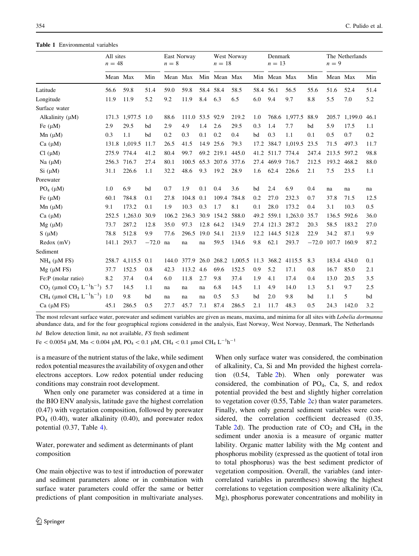### <span id="page-3-0"></span>Table 1 Environmental variables

|                                                                             | All sites<br>$n = 48$ |             | East Norway<br>$n = 8$ |          | West Norway<br>$n=18$ |           | Denmark<br>$n = 13$ |              | The Netherlands<br>$n = 9$ |                  |                    |                     |             |         |      |
|-----------------------------------------------------------------------------|-----------------------|-------------|------------------------|----------|-----------------------|-----------|---------------------|--------------|----------------------------|------------------|--------------------|---------------------|-------------|---------|------|
|                                                                             | Mean Max              |             | Min                    | Mean Max |                       |           | Min Mean Max        |              |                            | Min Mean Max     |                    | Min                 | Mean Max    |         | Min  |
| Latitude                                                                    | 56.6                  | 59.8        | 51.4                   | 59.0     | 59.8                  | 58.4 58.4 |                     | 58.5         | 58.4 56.1                  |                  | 56.5               | 55.6                | 51.6        | 52.4    | 51.4 |
| Longitude                                                                   | 11.9                  | 11.9        | 5.2                    | 9.2      | 11.9                  | 8.4       | 6.3                 | 6.5          | 6.0                        | 9.4              | 9.7                | 8.8                 | 5.5         | 7.0     | 5.2  |
| Surface water                                                               |                       |             |                        |          |                       |           |                     |              |                            |                  |                    |                     |             |         |      |
| Alkalinity $(\mu M)$                                                        | 171.3                 | 1,977.5     | 1.0                    | 88.6     | 111.0                 | 53.5 92.9 |                     | 219.2        | 1.0                        |                  | 768.6 1,977.5      | 88.9                | 205.7       | 1,199.0 | 46.1 |
| Fe $(\mu M)$                                                                | 2.9                   | 29.5        | bd                     | 2.9      | 4.9                   | 1.4       | 2.6                 | 29.5         | 0.3                        | 1.4              | 7.7                | bd                  | 5.9         | 17.5    | 1.1  |
| $Mn(\mu M)$                                                                 | 0.3                   | 1.1         | bd                     | 0.2      | 0.3                   | 0.1       | 0.2                 | 0.4          | bd                         | 0.3              | 1.1                | 0.1                 | 0.5         | 0.7     | 0.2  |
| Ca (µM)                                                                     | 131.8                 | 1.019.5     | 11.7                   | 26.5     | 41.5                  | 14.9      | 25.6                | 79.3         | 17.2                       |                  | 384.7 1.019.5      | 23.5                | 71.5        | 497.3   | 11.7 |
| Cl (µM)                                                                     | 275.9                 | 774.4       | 41.2                   | 80.4     | 99.7                  |           | 69.2 219.1          | 445.0        |                            | 41.2 511.7 774.4 |                    | 247.4               | 213.5 597.2 |         | 98.8 |
| Na $(\mu M)$                                                                | 256.3                 | 716.7       | 27.4                   | 80.1     | 100.5                 | 65.3      | 207.6 377.6         |              | 27.4                       | 469.9            | 716.7              | 212.5               | 193.2       | 468.2   | 88.0 |
| $Si \, (\mu M)$                                                             | 31.1                  | 226.6       | 1.1                    | 32.2     | 48.6                  | 9.3       | 19.2                | 28.9         | 1.6                        | 62.4             | 226.6              | 2.1                 | 7.5         | 23.5    | 1.1  |
| Porewater                                                                   |                       |             |                        |          |                       |           |                     |              |                            |                  |                    |                     |             |         |      |
| $PO4$ ( $\mu$ M)                                                            | 1.0                   | 6.9         | bd                     | 0.7      | 1.9                   | 0.1       | 0.4                 | 3.6          | bd                         | 2.4              | 6.9                | 0.4                 | na          | na      | na   |
| Fe $(\mu M)$                                                                | 60.1                  | 784.8       | 0.1                    | 27.8     | 104.8                 | 0.1       | 109.4               | 784.8        | 0.2                        | 27.0             | 232.3              | 0.7                 | 37.8        | 71.5    | 12.5 |
| $Mn(\mu M)$                                                                 | 9.1                   | 173.2       | 0.1                    | 1.9      | 10.3                  | 0.3       | 1.7                 | 8.1          | 0.1                        | 28.0             | 173.2              | 0.4                 | 3.1         | 10.3    | 0.5  |
| Ca $(\mu M)$                                                                | 252.5                 | 1,263.0     | 30.9                   | 106.2    | 236.3                 | 30.9      | 154.2               | 588.0        |                            |                  | 49.2 559.1 1,263.0 | 35.7                | 136.5       | 592.6   | 36.0 |
| $Mg(\mu M)$                                                                 | 73.7                  | 287.2       | 12.8                   | 35.0     | 97.3                  | 12.8 64.2 |                     | 134.9        |                            | 27.4 121.3 287.2 |                    | 20.3                | 58.5        | 183.2   | 27.0 |
| $S(\mu M)$                                                                  | 78.8                  | 512.8       | 9.9                    | 77.6     | 296.5                 | 19.0 54.1 |                     | 213.9        | 12.2                       | 144.5 512.8      |                    | 22.9                | 34.2        | 87.1    | 9.9  |
| $Redox$ (mV)                                                                | 141.1                 | 293.7       | $-72.0$                | na       | na                    | na        | 59.5                | 134.6        | 9.8                        | 62.1             | 293.7              | $-72.0$ 107.7 160.9 |             |         | 87.2 |
| Sediment                                                                    |                       |             |                        |          |                       |           |                     |              |                            |                  |                    |                     |             |         |      |
| $NH4$ ( $\mu$ M FS)                                                         | 258.7                 | 4,115.5 0.1 |                        |          | 144.0 377.9           | 26.0      | 268.2               | 1,005.5 11.3 |                            |                  | 368.2 4115.5       | 8.3                 | 183.4       | 434.0   | 0.1  |
| $Mg$ ( $\mu$ M FS)                                                          | 37.7                  | 152.5       | 0.8                    | 42.3     | 113.2                 | 4.6       | 69.6                | 152.5        | 0.9                        | 5.2              | 17.1               | 0.8                 | 16.7        | 85.0    | 2.1  |
| Fe:P (molar ratio)                                                          | 8.2                   | 37.4        | 0.4                    | 6.0      | 11.8                  | 2.7       | 9.8                 | 37.4         | 1.9                        | 4.1              | 17.4               | 0.4                 | 13.0        | 20.5    | 3.5  |
| $CO_2$ (µmol $CO_2$ L <sup>-1</sup> h <sup>-1</sup> )                       | 5.7                   | 14.5        | 1.1                    | na       | na                    | na        | 6.8                 | 14.5         | 1.1                        | 4.9              | 14.0               | 1.3                 | 5.1         | 9.7     | 2.5  |
| CH <sub>4</sub> (µmol CH <sub>4</sub> L <sup>-1</sup> h <sup>-1</sup> ) 1.0 |                       | 9.8         | bd                     | na       | na                    | na        | 0.5                 | 5.3          | bd                         | 2.0              | 9.8                | bd                  | 1.1         | 5       | bd   |
| Ca $(\mu M$ FS)                                                             | 45.1                  | 286.5       | 0.5                    | 27.7     | 45.7                  | 7.1       | 87.4                | 286.5        | 2.1                        | 11.7             | 48.3               | 0.5                 | 24.3        | 142.0   | 3.2  |

The most relevant surface water, porewater and sediment variables are given as means, maxima, and minima for all sites with *Lobelia dortmanna* abundance data, and for the four geographical regions considered in the analysis, East Norway, West Norway, Denmark, The Netherlands bd Below detection limit, na not available, FS fresh sediment

Fe < 0.0054 μM, Mn < 0.004 μM, PO<sub>4</sub> < 0.1 μM, CH<sub>4</sub> < 0.1 μmol CH<sub>4</sub> L<sup>-1</sup>h<sup>-1</sup>

is a measure of the nutrient status of the lake, while sediment redox potential measures the availability of oxygen and other electrons acceptors. Low redox potential under reducing conditions may constrain root development.

When only one parameter was considered at a time in the BIO ENV analysis, latitude gave the highest correlation (0.47) with vegetation composition, followed by porewater PO4 (0.40), water alkalinity (0.40), and porewater redox potential (0.37, Table [4](#page-5-0)).

Water, porewater and sediment as determinants of plant composition

One main objective was to test if introduction of porewater and sediment parameters alone or in combination with surface water parameters could offer the same or better predictions of plant composition in multivariate analyses.

When only surface water was considered, the combination of alkalinity, Ca, Si and Mn provided the highest correlation (0.54, Table [2](#page-4-0)b). When only porewater was considered, the combination of  $PO<sub>4</sub>$ ,  $Ca$ ,  $S$ , and redox potential provided the best and slightly higher correlation to vegetation cover (0.55, Table [2c](#page-4-0)) than water parameters. Finally, when only general sediment variables were considered, the correlation coefficient decreased (0.35, Table [2](#page-4-0)d). The production rate of  $CO<sub>2</sub>$  and  $CH<sub>4</sub>$  in the sediment under anoxia is a measure of organic matter lability. Organic matter lability with the Mg content and phosphorus mobility (expressed as the quotient of total iron to total phosphorus) was the best sediment predictor of vegetation composition. Overall, the variables (and intercorrelated variables in parentheses) showing the highest correlations to vegetation composition were alkalinity (Ca, Mg), phosphorus porewater concentrations and mobility in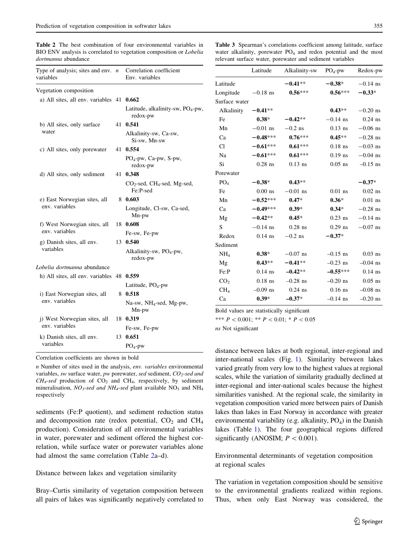<span id="page-4-0"></span>Table 2 The best combination of four environmental variables in BIO ENV analysis is correlated to vegetation composition or Lobelia dortmanna abundance

Table 3 Spearman's correlations coefficient among latitude, surface water alkalinity, porewater PO<sub>4</sub> and redox potential and the most relevant surface water, porewater and sediment variables

| Type of analysis; sites and env. $n$           | Correlation coefficient |                                                 |                                                             | Latitude   | Alkalinity-sw | $PO4-pw$   | Redox-pw   |  |  |  |
|------------------------------------------------|-------------------------|-------------------------------------------------|-------------------------------------------------------------|------------|---------------|------------|------------|--|--|--|
| variables                                      |                         | Env. variables                                  | Latitude                                                    |            | $-0.41**$     | $-0.38*$   | $-0.14$ ns |  |  |  |
| Vegetation composition                         |                         |                                                 | Longitude                                                   | $-0.18$ ns | $0.56***$     | $0.56***$  | $-0.33*$   |  |  |  |
| a) All sites, all env. variables $41$ 0.662    |                         |                                                 |                                                             |            |               |            |            |  |  |  |
|                                                |                         | Latitude, alkalinity-sw, $PO4$ -pw,             | Alkalinity                                                  | $-0.41**$  |               | $0.43**$   | $-0.20$ ns |  |  |  |
|                                                |                         | redox-pw                                        | Fe                                                          | $0.38*$    | $-0.42**$     | $-0.14$ ns | $0.24$ ns  |  |  |  |
| b) All sites, only surface<br>water            |                         | 41 0.541                                        | Mn                                                          | $-0.01$ ns | $-0.2$ ns     | $0.13$ ns  | $-0.06$ ns |  |  |  |
|                                                |                         | Alkalinity-sw, Ca-sw,<br>Si-sw, Mn-sw           | Ca                                                          | $-0.48***$ | $0.76***$     | $0.45**$   | $-0.28$ ns |  |  |  |
| c) All sites, only porewater                   |                         | 41 0.554                                        | Cl                                                          | $-0.61***$ | $0.61***$     | $0.18$ ns  | $-0.03$ ns |  |  |  |
|                                                |                         | PO <sub>4</sub> -pw, Ca-pw, S-pw,               | Na                                                          | $-0.61***$ | $0.61***$     | $0.19$ ns  | $-0.04$ ns |  |  |  |
|                                                |                         | redox-pw                                        | Si                                                          | $0.28$ ns  | $0.13$ ns     | $0.05$ ns  | $-0.15$ ns |  |  |  |
| d) All sites, only sediment                    |                         | 41 0.348                                        | Porewater                                                   |            |               |            |            |  |  |  |
|                                                |                         | $CO_2$ -sed, CH <sub>4</sub> -sed, Mg-sed,      | PO <sub>4</sub>                                             | $-0.38*$   | $0.43**$      |            | $-0.37*$   |  |  |  |
|                                                |                         | Fe:P-sed                                        | Fe                                                          | $0.00$ ns  | $-0.01$ ns    | $0.01$ ns  | $0.02$ ns  |  |  |  |
| e) East Norwegian sites, all<br>env. variables |                         | 8 0.603                                         | Mn                                                          | $-0.52***$ | $0.47*$       | $0.36*$    | $0.01$ ns  |  |  |  |
|                                                |                         | Longitude, Cl-sw, Ca-sed,                       | Ca                                                          | $-0.49***$ | $0.39*$       | $0.34*$    | $-0.28$ ns |  |  |  |
|                                                |                         | $Mn$ -pw                                        | Mg                                                          | $-0.42**$  | $0.45*$       | $0.23$ ns  | $-0.14$ ns |  |  |  |
| f) West Norwegian sites, all<br>env. variables |                         | 18 0.608                                        | S                                                           | $-0.14$ ns | $0.28$ ns     | $0.29$ ns  | $-0.07$ ns |  |  |  |
|                                                |                         | Fe-sw, Fe-pw                                    | Redox                                                       | $0.14$ ns  | $-0.2$ ns     | $-0.37*$   |            |  |  |  |
| g) Danish sites, all env.<br>variables         |                         | 13 0.540                                        | Sediment                                                    |            |               |            |            |  |  |  |
| Lobelia dortmanna abundance                    |                         | Alkalinity-sw, PO <sub>4</sub> -pw,<br>redox-pw | NH <sub>4</sub>                                             | $0.38*$    | $-0.07$ ns    | $-0.15$ ns | $0.03$ ns  |  |  |  |
|                                                |                         |                                                 | Mg                                                          | $0.43**$   | $-0.41**$     | $-0.23$ ns | $-0.04$ ns |  |  |  |
| h) All sites, all env. variables 48 0.559      |                         |                                                 | Fe:P                                                        | $0.14$ ns  | $-0.42**$     | $-0.55***$ | $0.14$ ns  |  |  |  |
|                                                |                         | Latitude, $PO_4$ -pw                            | CO <sub>2</sub>                                             | $0.18$ ns  | $-0.28$ ns    | $-0.20$ ns | $0.05$ ns  |  |  |  |
| i) East Norwegian sites, all<br>env. variables |                         | 8 0.518                                         | CH <sub>4</sub>                                             | $-0.09$ ns | $0.24$ ns     | $0.16$ ns  | $-0.08$ ns |  |  |  |
|                                                |                         | Na-sw, $NH_4$ -sed, Mg-pw,                      | Ca                                                          | $0.39*$    | $-0.37*$      | $-0.14$ ns | $-0.20$ ns |  |  |  |
|                                                |                         | Mn-pw                                           | Bold values are statistically significant                   |            |               |            |            |  |  |  |
| i) West Norwegian sites, all<br>env. variables |                         | 18 0.319                                        | *** $P < 0.001$ : ** $P < 0.01$ : * $P < 0.05$              |            |               |            |            |  |  |  |
|                                                |                         | Fe-sw, Fe-pw                                    | ns Not significant                                          |            |               |            |            |  |  |  |
| k) Danish sites, all env.                      |                         | 13 0.651                                        |                                                             |            |               |            |            |  |  |  |
| variables                                      |                         | $PO4-pw$                                        | distance between lakes at both regional, inter-regional and |            |               |            |            |  |  |  |

Correlation coefficients are shown in bold

n Number of sites used in the analysis, env. variables environmental variables, sw surface water, pw porewater, sed sediment,  $CO_2$ -sed and  $CH_4$ -sed production of  $CO_2$  and  $CH_4$ , respectively, by sediment mineralisation,  $NO_3$ -sed and  $NH_4$ -sed plant available  $NO_3$  and  $NH_4$ respectively

sediments (Fe:P quotient), and sediment reduction status and decomposition rate (redox potential,  $CO<sub>2</sub>$  and  $CH<sub>4</sub>$ production). Consideration of all environmental variables in water, porewater and sediment offered the highest correlation, while surface water or porewater variables alone had almost the same correlation (Table 2a–d).

Distance between lakes and vegetation similarity

Bray–Curtis similarity of vegetation composition between all pairs of lakes was significantly negatively correlated to

| Latitude                                  |            | $-0.41**$                                      | $-0.38*$   | $-0.14$ ns |  |  |  |
|-------------------------------------------|------------|------------------------------------------------|------------|------------|--|--|--|
| Longitude                                 | $-0.18$ ns | $0.56***$                                      | $0.56***$  | $-0.33*$   |  |  |  |
| Surface water                             |            |                                                |            |            |  |  |  |
| Alkalinity                                | $-0.41**$  |                                                | $0.43**$   | $-0.20$ ns |  |  |  |
| Fe                                        | $0.38*$    | $-0.42**$                                      | $-0.14$ ns | $0.24$ ns  |  |  |  |
| Mn                                        | $-0.01$ ns | $-0.2$ ns                                      | $0.13$ ns  | $-0.06$ ns |  |  |  |
| Ca                                        | $-0.48***$ | $0.76***$                                      | $0.45**$   | $-0.28$ ns |  |  |  |
| C1                                        | $-0.61***$ | $0.61***$                                      | $0.18$ ns  | $-0.03$ ns |  |  |  |
| Na                                        | $-0.61***$ | $0.61***$                                      | $0.19$ ns  | $-0.04$ ns |  |  |  |
| Si                                        | $0.28$ ns  | $0.13$ ns                                      | $0.05$ ns  | $-0.15$ ns |  |  |  |
| Porewater                                 |            |                                                |            |            |  |  |  |
| PO <sub>4</sub>                           | $-0.38*$   | $0.43**$                                       |            | $-0.37*$   |  |  |  |
| Fe                                        | $0.00$ ns  | $-0.01$ ns                                     | $0.01$ ns  | $0.02$ ns  |  |  |  |
| Mn                                        | $-0.52***$ | $0.47*$                                        | $0.36*$    | $0.01$ ns  |  |  |  |
| Ca                                        | $-0.49***$ | $0.39*$                                        | $0.34*$    | $-0.28$ ns |  |  |  |
| Mg                                        | $-0.42**$  | $0.45*$                                        | $0.23$ ns  | $-0.14$ ns |  |  |  |
| S                                         | $-0.14$ ns | $0.28$ ns                                      | $0.29$ ns  | $-0.07$ ns |  |  |  |
| Redox                                     | $0.14$ ns  | $-0.2$ ns                                      | $-0.37*$   |            |  |  |  |
| Sediment                                  |            |                                                |            |            |  |  |  |
| NH <sub>4</sub>                           | $0.38*$    | $-0.07$ ns                                     | $-0.15$ ns | $0.03$ ns  |  |  |  |
| Mg                                        | $0.43**$   | $-0.41**$                                      | $-0.23$ ns | $-0.04$ ns |  |  |  |
| Fe:P                                      | $0.14$ ns  | $-0.42**$                                      | $-0.55***$ | $0.14$ ns  |  |  |  |
| CO <sub>2</sub>                           | $0.18$ ns  | $-0.28$ ns                                     | $-0.20$ ns | $0.05$ ns  |  |  |  |
| CH <sub>4</sub>                           | $-0.09$ ns | $0.24$ ns                                      | $0.16$ ns  | $-0.08$ ns |  |  |  |
| Ca                                        | $0.39*$    | $-0.37*$                                       | $-0.14$ ns | $-0.20$ ns |  |  |  |
| Bold values are statistically significant |            |                                                |            |            |  |  |  |
|                                           |            | *** $P < 0.001$ ; ** $P < 0.01$ ; * $P < 0.05$ |            |            |  |  |  |
| ns Not significant                        |            |                                                |            |            |  |  |  |
|                                           |            |                                                |            |            |  |  |  |
|                                           |            |                                                |            |            |  |  |  |

oth regional, inter-regional and inter-national scales (Fig. [1\)](#page-5-0). Similarity between lakes varied greatly from very low to the highest values at regional scales, while the variation of similarity gradually declined at inter-regional and inter-national scales because the highest similarities vanished. At the regional scale, the similarity in vegetation composition varied more between pairs of Danish lakes than lakes in East Norway in accordance with greater environmental variability (e.g. alkalinity,  $PO<sub>4</sub>$ ) in the Danish lakes (Table [1](#page-3-0)). The four geographical regions differed significantly (ANOSIM;  $P < 0.001$ ).

Environmental determinants of vegetation composition at regional scales

The variation in vegetation composition should be sensitive to the environmental gradients realized within regions. Thus, when only East Norway was considered, the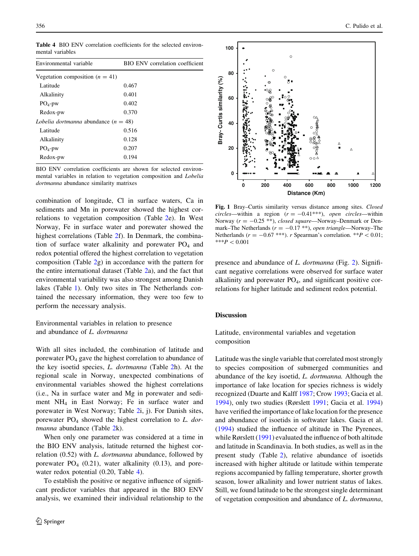Table 4 BIO ENV correlation coefficients for the selected environmental variables

| Environmental variable                        | BIO ENV correlation coefficient |
|-----------------------------------------------|---------------------------------|
| Vegetation composition ( $n = 41$ )           |                                 |
| Latitude                                      | 0.467                           |
| Alkalinity                                    | 0.401                           |
| $PO_4$ -pw                                    | 0.402                           |
| Redox-pw                                      | 0.370                           |
| <i>Lobelia dortmanna</i> abundance $(n = 48)$ |                                 |
| Latitude                                      | 0.516                           |
| Alkalinity                                    | 0.128                           |
| $PO_4$ -pw                                    | 0.207                           |
| Redox-pw                                      | 0.194                           |
|                                               |                                 |

BIO ENV correlation coefficients are shown for selected environmental variables in relation to vegetation composition and Lobelia

combination of longitude, Cl in surface waters, Ca in sediments and Mn in porewater showed the highest correlations to vegetation composition (Table [2e](#page-4-0)). In West Norway, Fe in surface water and porewater showed the highest correlations (Table [2](#page-4-0)f). In Denmark, the combination of surface water alkalinity and porewater  $PO<sub>4</sub>$  and redox potential offered the highest correlation to vegetation composition (Table [2](#page-4-0)g) in accordance with the pattern for the entire international dataset (Table [2a](#page-4-0)), and the fact that environmental variability was also strongest among Danish lakes (Table [1](#page-3-0)). Only two sites in The Netherlands contained the necessary information, they were too few to perform the necessary analysis.

Environmental variables in relation to presence and abundance of L. dortmanna

With all sites included, the combination of latitude and porewater PO4 gave the highest correlation to abundance of the key isoetid species, L. dortmanna (Table [2h](#page-4-0)). At the regional scale in Norway, unexpected combinations of environmental variables showed the highest correlations (i.e., Na in surface water and Mg in porewater and sediment NH4 in East Norway; Fe in surface water and porewater in West Norway; Table [2](#page-4-0)i, j). For Danish sites, porewater  $PO_4$  showed the highest correlation to L. dor-tmanna abundance (Table [2k](#page-4-0)).

When only one parameter was considered at a time in the BIO ENV analysis, latitude returned the highest correlation  $(0.52)$  with L. dortmanna abundance, followed by porewater  $PO_4$  (0.21), water alkalinity (0.13), and porewater redox potential (0.20, Table 4).

To establish the positive or negative influence of significant predictor variables that appeared in the BIO ENV analysis, we examined their individual relationship to the

<span id="page-5-0"></span>

Fig. 1 Bray–Curtis similarity versus distance among sites. Closed circles—within a region  $(r = -0.41***)$ , open circles—within Norway ( $r = -0.25$  \*\*), closed square—Norway–Denmark or Denmark–The Netherlands ( $r = -0.17$  \*\*), open triangle—Norway–The Netherlands ( $r = -0.67$  \*\*\*). *r* Spearman's correlation. \*\* $P \lt 0.01$ ;  $***P<0.001$ 

presence and abundance of L. dortmanna (Fig. [2](#page-7-0)). Significant negative correlations were observed for surface water alkalinity and porewater  $PO<sub>4</sub>$ , and significant positive correlations for higher latitude and sediment redox potential.

# Discussion

Latitude, environmental variables and vegetation composition

Latitude was the single variable that correlated most strongly to species composition of submerged communities and abundance of the key isoetid, L. dortmanna. Although the importance of lake location for species richness is widely recognized (Duarte and Kalff [1987](#page-8-0); Crow [1993](#page-8-0); Gacia et al. [1994](#page-8-0)), only two studies (Rørslett [1991](#page-9-0); Gacia et al. [1994\)](#page-8-0) have verified the importance of lake location for the presence and abundance of isoetids in softwater lakes. Gacia et al. [\(1994](#page-8-0)) studied the influence of altitude in The Pyrenees, while Rørslett ([1991\)](#page-9-0) evaluated the influence of both altitude and latitude in Scandinavia. In both studies, as well as in the present study (Table [2\)](#page-4-0), relative abundance of isoetids increased with higher altitude or latitude within temperate regions accompanied by falling temperature, shorter growth season, lower alkalinity and lower nutrient status of lakes. Still, we found latitude to be the strongest single determinant of vegetation composition and abundance of L. dortmanna,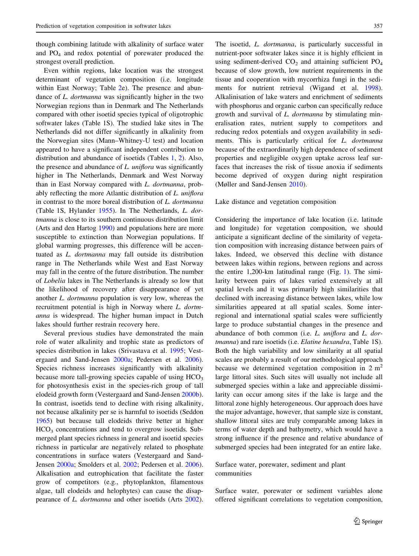though combining latitude with alkalinity of surface water and  $PO<sub>4</sub>$  and redox potential of porewater produced the strongest overall prediction.

Even within regions, lake location was the strongest determinant of vegetation composition (i.e. longitude within East Norway; Table [2](#page-4-0)e). The presence and abundance of *L. dortmanna* was significantly higher in the two Norwegian regions than in Denmark and The Netherlands compared with other isoetid species typical of oligotrophic softwater lakes (Table 1S). The studied lake sites in The Netherlands did not differ significantly in alkalinity from the Norwegian sites (Mann–Whitney-U test) and location appeared to have a significant independent contribution to distribution and abundance of isoetids (Tables [1,](#page-3-0) [2\)](#page-4-0). Also, the presence and abundance of L. uniflora was significantly higher in The Netherlands, Denmark and West Norway than in East Norway compared with L. dortmanna, probably reflecting the more Atlantic distribution of L. uniflora in contrast to the more boreal distribution of L. dortmanna (Table 1S, Hylander [1955](#page-8-0)). In The Netherlands, L. dortmanna is close to its southern continuous distribution limit (Arts and den Hartog [1990\)](#page-8-0) and populations here are more susceptible to extinction than Norwegian populations. If global warming progresses, this difference will be accentuated as L. dortmanna may fall outside its distribution range in The Netherlands while West and East Norway may fall in the centre of the future distribution. The number of Lobelia lakes in The Netherlands is already so low that the likelihood of recovery after disappearance of yet another L. dortmanna population is very low, whereas the recruitment potential is high in Norway where L. dortmanna is widespread. The higher human impact in Dutch lakes should further restrain recovery here.

Several previous studies have demonstrated the main role of water alkalinity and trophic state as predictors of species distribution in lakes (Srivastava et al. [1995](#page-9-0); Vestergaard and Sand-Jensen [2000a;](#page-9-0) Pedersen et al. [2006](#page-9-0)). Species richness increases significantly with alkalinity because more tall-growing species capable of using  $HCO<sub>3</sub>$ for photosynthesis exist in the species-rich group of tall elodeid growth form (Vestergaard and Sand-Jensen [2000b](#page-9-0)). In contrast, isoetids tend to decline with rising alkalinity, not because alkalinity per se is harmful to isoetids (Seddon [1965\)](#page-9-0) but because tall elodeids thrive better at higher  $HCO<sub>3</sub>$  concentrations and tend to overgrow isoetids. Submerged plant species richness in general and isoetid species richness in particular are negatively related to phosphate concentrations in surface waters (Vestergaard and Sand-Jensen [2000a](#page-9-0); Smolders et al. [2002](#page-9-0); Pedersen et al. [2006](#page-9-0)). Alkalisation and eutrophication that facilitate the faster grow of competitors (e.g., phytoplankton, filamentous algae, tall elodeids and helophytes) can cause the disappearance of L. dortmanna and other isoetids (Arts [2002](#page-8-0)).

The isoetid, *L. dortmanna*, is particularly successful in nutrient-poor softwater lakes since it is highly efficient in using sediment-derived  $CO<sub>2</sub>$  and attaining sufficient  $PO<sub>4</sub>$ because of slow growth, low nutrient requirements in the tissue and cooperation with mycorrhiza fungi in the sediments for nutrient retrieval (Wigand et al. [1998](#page-9-0)). Alkalinisation of lake waters and enrichment of sediments with phosphorus and organic carbon can specifically reduce growth and survival of L. dortmanna by stimulating mineralisation rates, nutrient supply to competitors and reducing redox potentials and oxygen availability in sediments. This is particularly critical for L. dortmanna because of the extraordinarily high dependence of sediment properties and negligible oxygen uptake across leaf surfaces that increases the risk of tissue anoxia if sediments become deprived of oxygen during night respiration (Møller and Sand-Jensen [2010\)](#page-8-0).

## Lake distance and vegetation composition

Considering the importance of lake location (i.e. latitude and longitude) for vegetation composition, we should anticipate a significant decline of the similarity of vegetation composition with increasing distance between pairs of lakes. Indeed, we observed this decline with distance between lakes within regions, between regions and across the entire 1,200-km latitudinal range (Fig. [1](#page-5-0)). The similarity between pairs of lakes varied extensively at all spatial levels and it was primarily high similarities that declined with increasing distance between lakes, while low similarities appeared at all spatial scales. Some interregional and international spatial scales were sufficiently large to produce substantial changes in the presence and abundance of both common (i.e. L. uniflora and L. dortmanna) and rare isoetids (i.e. Elatine hexandra, Table 1S). Both the high variability and low similarity at all spatial scales are probably a result of our methodological approach because we determined vegetation composition in  $2 m<sup>2</sup>$ large littoral sites. Such sites will usually not include all submerged species within a lake and appreciable dissimilarity can occur among sites if the lake is large and the littoral zone highly heterogeneous. Our approach does have the major advantage, however, that sample size is constant, shallow littoral sites are truly comparable among lakes in terms of water depth and bathymetry, which would have a strong influence if the presence and relative abundance of submerged species had been integrated for an entire lake.

# Surface water, porewater, sediment and plant communities

Surface water, porewater or sediment variables alone offered significant correlations to vegetation composition,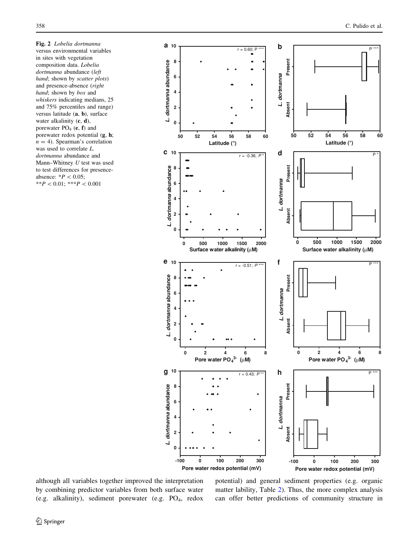<span id="page-7-0"></span>Fig. 2 Lobelia dortmanna versus environmental variables in sites with vegetation composition data. Lobelia dortmanna abundance (left hand; shown by scatter plots) and presence-absence (right hand; shown by box and whiskers indicating medians, 25 and 75% percentiles and range) versus latitude (a, b), surface water alkalinity (c, d), porewater  $PO_4$  (e, f) and porewater redox potential (g, h;  $n = 4$ ). Spearman's correlation was used to correlate L. dortmanna abundance and Mann–Whitney U test was used to test differences for presenceabsence:  $*P < 0.05$ ;  $**P < 0.01; **P < 0.001$ 



**Pore water redox potential (mV)**



although all variables together improved the interpretation by combining predictor variables from both surface water (e.g. alkalinity), sediment porewater (e.g.  $PO<sub>4</sub>$ , redox

potential) and general sediment properties (e.g. organic matter lability, Table [2](#page-4-0)). Thus, the more complex analysis can offer better predictions of community structure in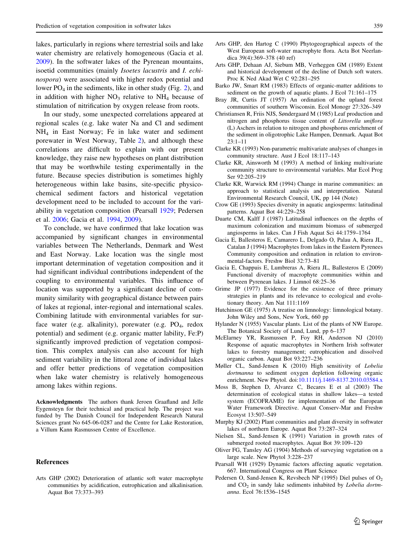<span id="page-8-0"></span>lakes, particularly in regions where terrestrial soils and lake water chemistry are relatively homogeneous (Gacia et al. 2009). In the softwater lakes of the Pyrenean mountains, isoetid communities (mainly Isoetes lacustris and I. echinospora) were associated with higher redox potential and lower  $PO_4$  in the sediments, like in other study (Fig. [2\)](#page-7-0), and in addition with higher  $NO<sub>3</sub>$  relative to  $NH<sub>4</sub>$  because of stimulation of nitrification by oxygen release from roots.

In our study, some unexpected correlations appeared at regional scales (e.g. lake water Na and Cl and sediment NH4 in East Norway; Fe in lake water and sediment porewater in West Norway, Table [2](#page-4-0)), and although these correlations are difficult to explain with our present knowledge, they raise new hypotheses on plant distribution that may be worthwhile testing experimentally in the future. Because species distribution is sometimes highly heterogeneous within lake basins, site-specific physicochemical sediment factors and historical vegetation development need to be included to account for the variability in vegetation composition (Pearsall 1929; Pedersen et al. [2006;](#page-9-0) Gacia et al. 1994, 2009).

To conclude, we have confirmed that lake location was accompanied by significant changes in environmental variables between The Netherlands, Denmark and West and East Norway. Lake location was the single most important determination of vegetation composition and it had significant individual contributions independent of the coupling to environmental variables. This influence of location was supported by a significant decline of community similarity with geographical distance between pairs of lakes at regional, inter-regional and international scales. Combining latitude with environmental variables for surface water (e.g. alkalinity), porewater (e.g.  $PO_4$ , redox potential) and sediment (e.g. organic matter lability, Fe:P) significantly improved prediction of vegetation composition. This complex analysis can also account for high sediment variability in the littoral zone of individual lakes and offer better predictions of vegetation composition when lake water chemistry is relatively homogeneous among lakes within regions.

Acknowledgments The authors thank Jeroen Graafland and Jelle Eygensteyn for their technical and practical help. The project was funded by The Danish Council for Independent Research Natural Sciences grant No 645-06-0287 and the Centre for Lake Restoration, a Villum Kann Rasmussen Centre of Excellence.

### References

Arts GHP (2002) Deterioration of atlantic soft water macrophyte communities by acidification, eutrophication and alkalinisation. Aquat Bot 73:373–393

- Arts GHP, den Hartog C (1990) Phytogeographical aspects of the West European soft-water macrophyte flora. Acta Bot Neerlandica 39(4):369–378 (40 ref)
- Arts GHP, Dehaan AJ, Siebum MB, Verheggen GM (1989) Extent and historical development of the decline of Dutch soft waters. Proc K Ned Akad Wet C 92:281–295
- Barko JW, Smart RM (1983) Effects of organic-matter additions to sediment on the growth of aquatic plants. J Ecol 71:161–175
- Bray JR, Curtis JT (1957) An ordination of the upland forest communities of southern Wisconsin. Ecol Monogr 27:326–349
- Christiansen R, Friis NJS, Søndergaard M (1985) Leaf production and nitrogen and phosphorus tissue content of Littorella uniflora (L) Aschers in relation to nitrogen and phosphorus enrichment of the sediment in oligotrophic Lake Hampen, Denmark. Aquat Bot 23:1–11
- Clarke KR (1993) Non-parametric multivariate analyses of changes in community structure. Aust J Ecol 18:117–143
- Clarke KR, Ainsworth M (1993) A method of linking multivariate community structure to environmental variables. Mar Ecol Prog Ser 92:205–219
- Clarke KR, Warwick RM (1994) Change in marine communities: an approach to statistical analysis and interpretation. Natural Environmental Research Council, UK, pp 144 (Note)
- Crow GE (1993) Species diversity in aquatic angiosperms: latitudinal patterns. Aquat Bot 44:229–258
- Duarte CM, Kalff J (1987) Latitudinal influences on the depths of maximum colonization and maximum biomass of submerged angiosperms in lakes. Can J Fish Aquat Sci 44:1759–1764
- Gacia E, Ballesteros E, Camarero L, Delgado O, Palau A, Riera JL, Catalan J (1994) Macrophytes from lakes in the Eastern Pyrenees Community composition and ordination in relation to environmental-factors. Freshw Biol 32:73–81
- Gacia E, Chappuis E, Lumbreras A, Riera JL, Ballesteros E (2009) Functional diversity of macrophyte communities within and between Pyrenean lakes. J Limnol 68:25–36
- Grime JP (1977) Evidence for the existence of three primary strategies in plants and its relevance to ecological and evolutionary theory. Am Nat 111:1169
- Hutchinson GE (1975) A treatise on limnology: limnological botany. John Wiley and Sons, New York, 660 pp
- Hylander N (1955) Vascular plants. List of the plants of NW Europe. The Botanical Society of Lund, Lund, pp 6–137
- McElarney YR, Rasmussen P, Foy RH, Anderson NJ (2010) Response of aquatic macrophytes in Northern Irish softwater lakes to forestry management; eutrophication and dissolved organic carbon. Aquat Bot 93:227–236
- Møller CL, Sand-Jensen K (2010) High sensitivity of Lobelia dortmanna to sediment oxygen depletion following organic enrichment. New Phytol. doi[:10.1111/j.1469-8137.2010.03584.x](http://dx.doi.org/10.1111/j.1469-8137.2010.03584.x)
- Moss B, Stephen D, Alvarez C, Becares E et al (2003) The determination of ecological status in shallow lakes—a tested system (ECOFRAME) for implementation of the European Water Framework Directive. Aquat Conserv-Mar and Freshw Ecosyst 13:507–549
- Murphy KJ (2002) Plant communities and plant diversity in softwater lakes of northern Europe. Aquat Bot 73:287–324
- Nielsen SL, Sand-Jensen K (1991) Variation in growth rates of submerged rooted macrophytes. Aquat Bot 39:109–120
- Oliver FG, Tansley AG (1904) Methods of surveying vegetation on a large scale. New Phytol 3:228–237
- Pearsall WH (1929) Dynamic factors affecting aquatic vegetation. 667. International Congress on Plant Science
- Pedersen O, Sand-Jensen K, Revsbech NP (1995) Diel pulses of O<sub>2</sub> and  $CO<sub>2</sub>$  in sandy lake sediments inhabited by *Lobelia dortm*anna. Ecol 76:1536–1545